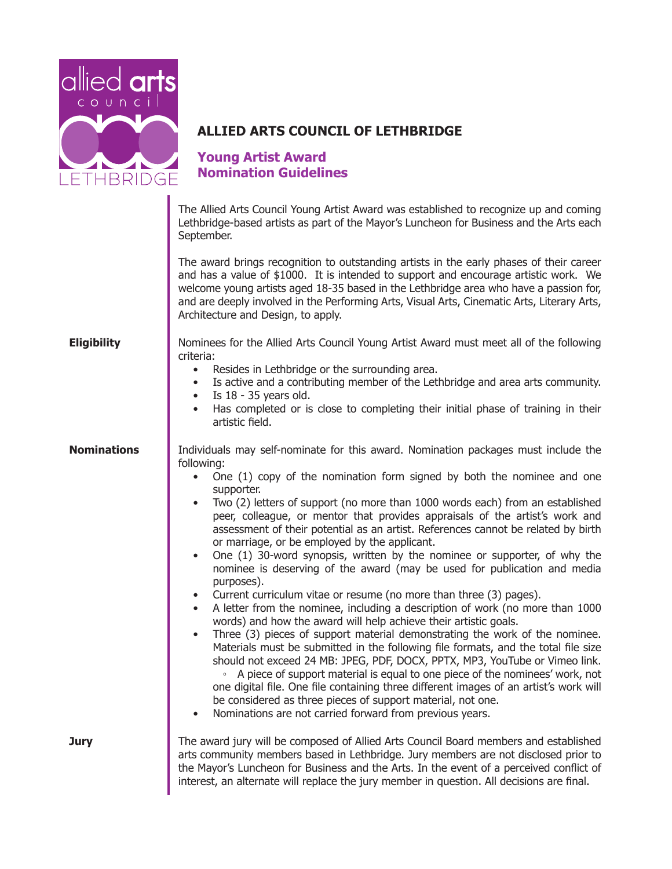

## **ALLIED ARTS COUNCIL OF LETHBRIDGE**

**Young Artist Award Nomination Guidelines**

The Allied Arts Council Young Artist Award was established to recognize up and coming Lethbridge-based artists as part of the Mayor's Luncheon for Business and the Arts each September.

The award brings recognition to outstanding artists in the early phases of their career and has a value of \$1000. It is intended to support and encourage artistic work. We welcome young artists aged 18-35 based in the Lethbridge area who have a passion for, and are deeply involved in the Performing Arts, Visual Arts, Cinematic Arts, Literary Arts, Architecture and Design, to apply.

**Eligibility** Nominees for the Allied Arts Council Young Artist Award must meet all of the following criteria:

- Resides in Lethbridge or the surrounding area.
- Is active and a contributing member of the Lethbridge and area arts community.
- $\bullet$  Is 18 35 years old.
- Has completed or is close to completing their initial phase of training in their artistic field.

**Nominations** Individuals may self-nominate for this award. Nomination packages must include the following:

- One (1) copy of the nomination form signed by both the nominee and one supporter.
- Two (2) letters of support (no more than 1000 words each) from an established peer, colleague, or mentor that provides appraisals of the artist's work and assessment of their potential as an artist. References cannot be related by birth or marriage, or be employed by the applicant.
- One (1) 30-word synopsis, written by the nominee or supporter, of why the nominee is deserving of the award (may be used for publication and media purposes).
- Current curriculum vitae or resume (no more than three (3) pages).
- A letter from the nominee, including a description of work (no more than 1000 words) and how the award will help achieve their artistic goals.
- Three (3) pieces of support material demonstrating the work of the nominee. Materials must be submitted in the following file formats, and the total file size should not exceed 24 MB: JPEG, PDF, DOCX, PPTX, MP3, YouTube or Vimeo link.

◦ A piece of support material is equal to one piece of the nominees' work, not one digital file. One file containing three different images of an artist's work will be considered as three pieces of support material, not one.

• Nominations are not carried forward from previous years.

**Jury** The award jury will be composed of Allied Arts Council Board members and established arts community members based in Lethbridge. Jury members are not disclosed prior to the Mayor's Luncheon for Business and the Arts. In the event of a perceived conflict of interest, an alternate will replace the jury member in question. All decisions are final.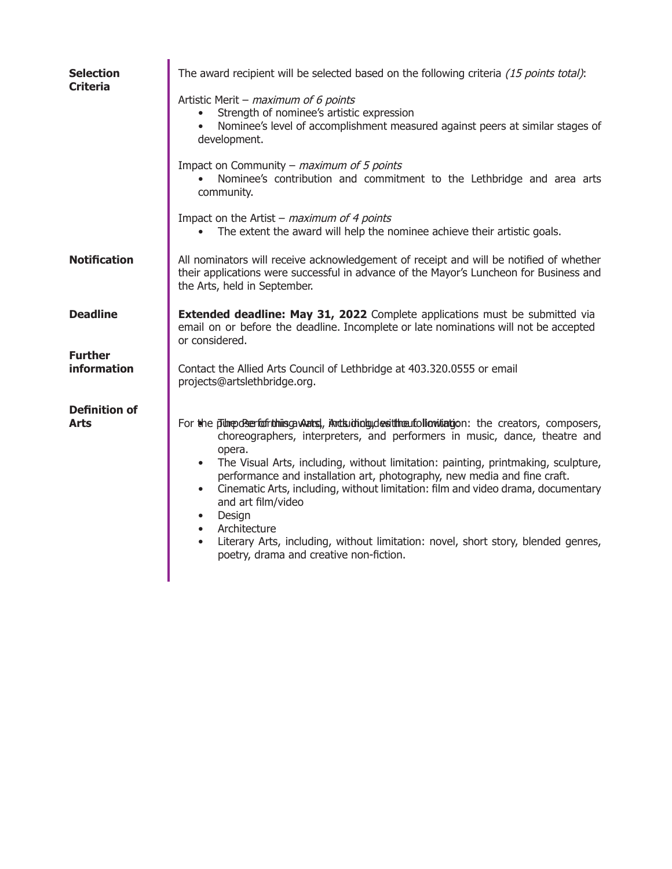| <b>Selection</b><br><b>Criteria</b> | The award recipient will be selected based on the following criteria (15 points total):                                                                                                                                                                                                                                                                                                                                                                                                                                                                                                                                                                                                         |  |
|-------------------------------------|-------------------------------------------------------------------------------------------------------------------------------------------------------------------------------------------------------------------------------------------------------------------------------------------------------------------------------------------------------------------------------------------------------------------------------------------------------------------------------------------------------------------------------------------------------------------------------------------------------------------------------------------------------------------------------------------------|--|
|                                     | Artistic Merit - maximum of 6 points<br>Strength of nominee's artistic expression<br>$\bullet$<br>Nominee's level of accomplishment measured against peers at similar stages of<br>$\bullet$<br>development.                                                                                                                                                                                                                                                                                                                                                                                                                                                                                    |  |
|                                     | Impact on Community – $maximum$ of 5 points<br>Nominee's contribution and commitment to the Lethbridge and area arts<br>community.                                                                                                                                                                                                                                                                                                                                                                                                                                                                                                                                                              |  |
|                                     | Impact on the Artist – maximum of 4 points<br>The extent the award will help the nominee achieve their artistic goals.                                                                                                                                                                                                                                                                                                                                                                                                                                                                                                                                                                          |  |
| <b>Notification</b>                 | All nominators will receive acknowledgement of receipt and will be notified of whether<br>their applications were successful in advance of the Mayor's Luncheon for Business and<br>the Arts, held in September.                                                                                                                                                                                                                                                                                                                                                                                                                                                                                |  |
| <b>Deadline</b>                     | <b>Extended deadline: May 31, 2022</b> Complete applications must be submitted via<br>email on or before the deadline. Incomplete or late nominations will not be accepted<br>or considered.                                                                                                                                                                                                                                                                                                                                                                                                                                                                                                    |  |
| <b>Further</b><br>information       | Contact the Allied Arts Council of Lethbridge at 403.320.0555 or email<br>projects@artslethbridge.org.                                                                                                                                                                                                                                                                                                                                                                                                                                                                                                                                                                                          |  |
| <b>Definition of</b><br><b>Arts</b> | For the punpose for this gevaluated, And Luding devittment collowitation: the creators, composers,<br>choreographers, interpreters, and performers in music, dance, theatre and<br>opera.<br>The Visual Arts, including, without limitation: painting, printmaking, sculpture,<br>$\bullet$<br>performance and installation art, photography, new media and fine craft.<br>Cinematic Arts, including, without limitation: film and video drama, documentary<br>$\bullet$<br>and art film/video<br>Design<br>$\bullet$<br>Architecture<br>$\bullet$<br>Literary Arts, including, without limitation: novel, short story, blended genres,<br>$\bullet$<br>poetry, drama and creative non-fiction. |  |